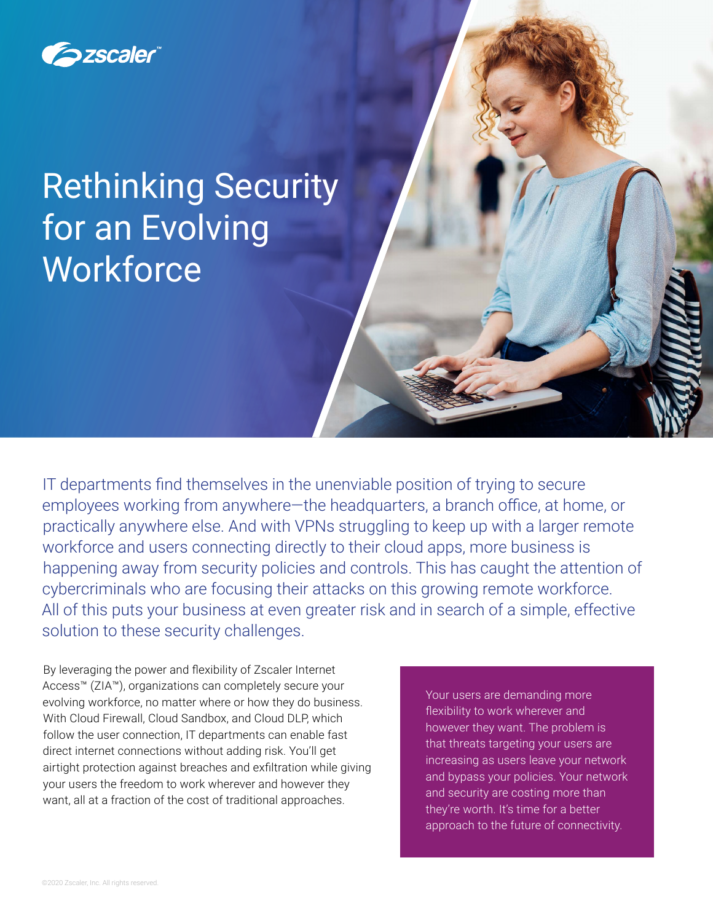

# Rethinking Security for an Evolving **Workforce**

IT departments find themselves in the unenviable position of trying to secure employees working from anywhere—the headquarters, a branch office, at home, or practically anywhere else. And with VPNs struggling to keep up with a larger remote workforce and users connecting directly to their cloud apps, more business is happening away from security policies and controls. This has caught the attention of cybercriminals who are focusing their attacks on this growing remote workforce. All of this puts your business at even greater risk and in search of a simple, effective solution to these security challenges.

By leveraging the power and flexibility of Zscaler Internet Access™ (ZIA™), organizations can completely secure your evolving workforce, no matter where or how they do business. With Cloud Firewall, Cloud Sandbox, and Cloud DLP, which follow the user connection, IT departments can enable fast direct internet connections without adding risk. You'll get airtight protection against breaches and exfiltration while giving your users the freedom to work wherever and however they want, all at a fraction of the cost of traditional approaches.

Your users are demanding more flexibility to work wherever and however they want. The problem is that threats targeting your users are increasing as users leave your network and bypass your policies. Your network and security are costing more than they're worth. It's time for a better approach to the future of connectivity.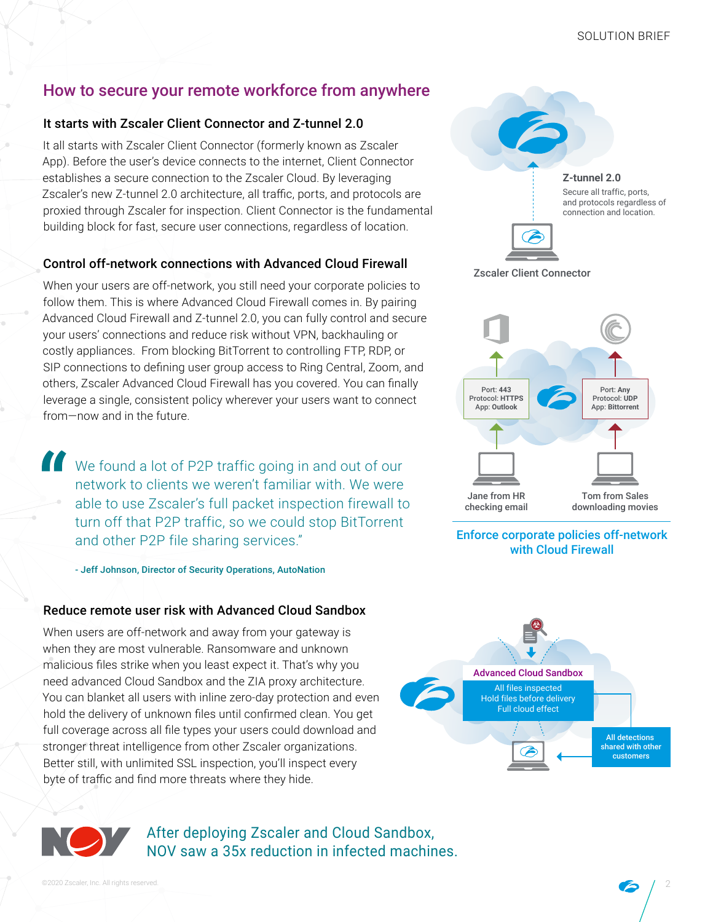## How to secure your remote workforce from anywhere

#### It starts with Zscaler Client Connector and Z-tunnel 2.0

It all starts with Zscaler Client Connector (formerly known as Zscaler App). Before the user's device connects to the internet, Client Connector establishes a secure connection to the Zscaler Cloud. By leveraging Zscaler's new Z-tunnel 2.0 architecture, all traffic, ports, and protocols are proxied through Zscaler for inspection. Client Connector is the fundamental building block for fast, secure user connections, regardless of location.

#### Control off-network connections with Advanced Cloud Firewall

When your users are off-network, you still need your corporate policies to follow them. This is where Advanced Cloud Firewall comes in. By pairing Advanced Cloud Firewall and Z-tunnel 2.0, you can fully control and secure your users' connections and reduce risk without VPN, backhauling or costly appliances. From blocking BitTorrent to controlling FTP, RDP, or SIP connections to defining user group access to Ring Central, Zoom, and others, Zscaler Advanced Cloud Firewall has you covered. You can finally leverage a single, consistent policy wherever your users want to connect from—now and in the future.

We found a lot of P2P traffic going in and out of our network to clients we weren't familiar with. We were able to use Zscaler's full packet inspection firewall to turn off that P2P traffic, so we could stop BitTorrent and other P2P file sharing services."

- Jeff Johnson, Director of Security Operations, AutoNation

#### Reduce remote user risk with Advanced Cloud Sandbox

When users are off-network and away from your gateway is when they are most vulnerable. Ransomware and unknown malicious files strike when you least expect it. That's why you need advanced Cloud Sandbox and the ZIA proxy architecture. You can blanket all users with inline zero-day protection and even hold the delivery of unknown files until confirmed clean. You get full coverage across all file types your users could download and stronger threat intelligence from other Zscaler organizations. Better still, with unlimited SSL inspection, you'll inspect every byte of traffic and find more threats where they hide.



After deploying Zscaler and Cloud Sandbox, NOV saw a 35x reduction in infected machines.





#### Enforce corporate policies off-network with Cloud Firewall